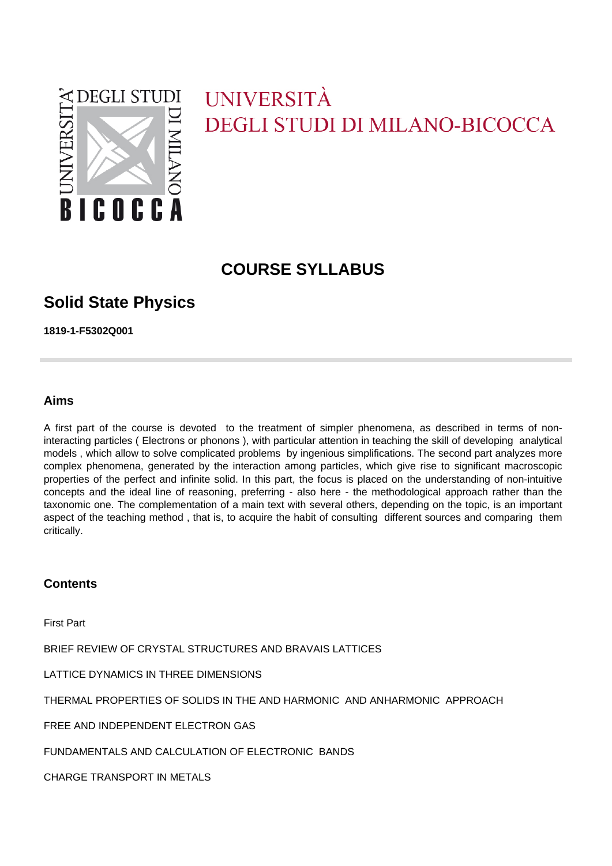

# UNIVERSITÀ **DEGLI STUDI DI MILANO-BICOCCA**

## **COURSE SYLLABUS**

## **Solid State Physics**

**1819-1-F5302Q001**

## **Aims**

A first part of the course is devoted to the treatment of simpler phenomena, as described in terms of noninteracting particles ( Electrons or phonons ), with particular attention in teaching the skill of developing analytical models , which allow to solve complicated problems by ingenious simplifications. The second part analyzes more complex phenomena, generated by the interaction among particles, which give rise to significant macroscopic properties of the perfect and infinite solid. In this part, the focus is placed on the understanding of non-intuitive concepts and the ideal line of reasoning, preferring - also here - the methodological approach rather than the taxonomic one. The complementation of a main text with several others, depending on the topic, is an important aspect of the teaching method , that is, to acquire the habit of consulting different sources and comparing them critically.

## **Contents**

First Part

BRIEF REVIEW OF CRYSTAL STRUCTURES AND BRAVAIS LATTICES

LATTICE DYNAMICS IN THREE DIMENSIONS

THERMAL PROPERTIES OF SOLIDS IN THE AND HARMONIC AND ANHARMONIC APPROACH

FREE AND INDEPENDENT ELECTRON GAS

FUNDAMENTALS AND CALCULATION OF ELECTRONIC BANDS

CHARGE TRANSPORT IN METALS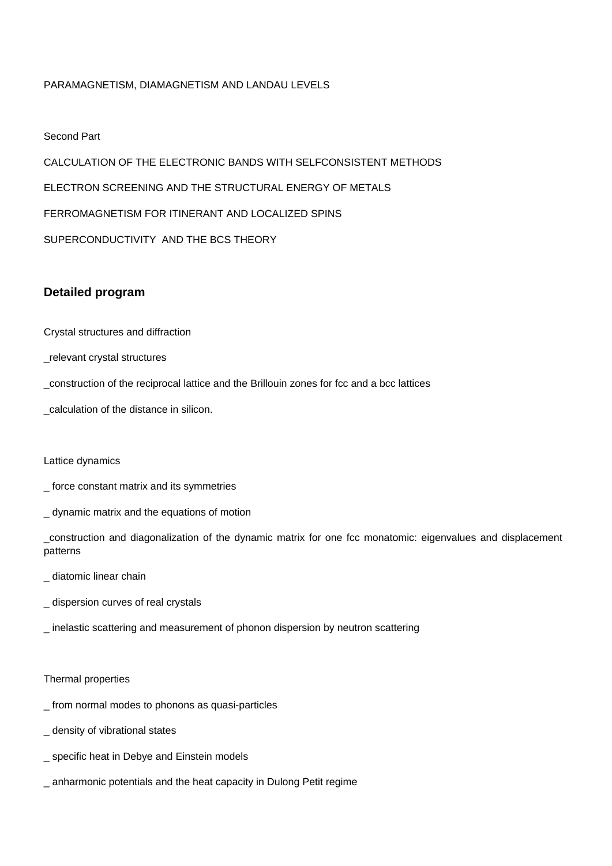## PARAMAGNETISM, DIAMAGNETISM AND LANDAU LEVELS

#### Second Part

CALCULATION OF THE ELECTRONIC BANDS WITH SELFCONSISTENT METHODS ELECTRON SCREENING AND THE STRUCTURAL ENERGY OF METALS FERROMAGNETISM FOR ITINERANT AND LOCALIZED SPINS SUPERCONDUCTIVITY AND THE BCS THEORY

## **Detailed program**

Crystal structures and diffraction

\_relevant crystal structures

\_construction of the reciprocal lattice and the Brillouin zones for fcc and a bcc lattices

\_calculation of the distance in silicon.

#### Lattice dynamics

\_ force constant matrix and its symmetries

\_ dynamic matrix and the equations of motion

\_construction and diagonalization of the dynamic matrix for one fcc monatomic: eigenvalues and displacement patterns

- \_ diatomic linear chain
- dispersion curves of real crystals
- \_ inelastic scattering and measurement of phonon dispersion by neutron scattering

#### Thermal properties

- \_ from normal modes to phonons as quasi-particles
- \_ density of vibrational states
- \_ specific heat in Debye and Einstein models
- \_ anharmonic potentials and the heat capacity in Dulong Petit regime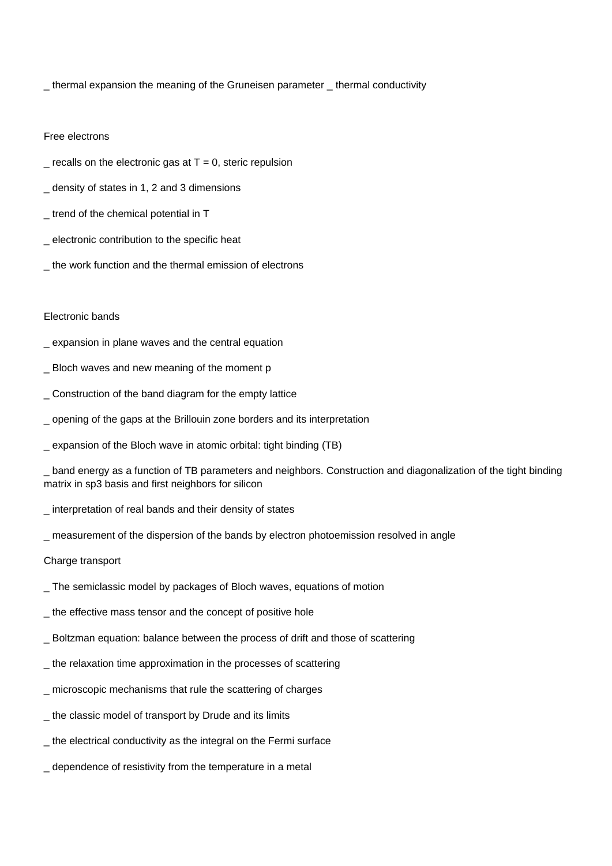\_ thermal expansion the meaning of the Gruneisen parameter \_ thermal conductivity

#### Free electrons

- $=$  recalls on the electronic gas at T = 0, steric repulsion
- \_ density of states in 1, 2 and 3 dimensions
- \_ trend of the chemical potential in T
- \_ electronic contribution to the specific heat
- \_ the work function and the thermal emission of electrons

#### Electronic bands

- \_ expansion in plane waves and the central equation
- \_ Bloch waves and new meaning of the moment p
- \_ Construction of the band diagram for the empty lattice
- \_ opening of the gaps at the Brillouin zone borders and its interpretation
- \_ expansion of the Bloch wave in atomic orbital: tight binding (TB)

\_ band energy as a function of TB parameters and neighbors. Construction and diagonalization of the tight binding matrix in sp3 basis and first neighbors for silicon

- \_ interpretation of real bands and their density of states
- \_ measurement of the dispersion of the bands by electron photoemission resolved in angle

#### Charge transport

- \_ The semiclassic model by packages of Bloch waves, equations of motion
- \_ the effective mass tensor and the concept of positive hole
- \_ Boltzman equation: balance between the process of drift and those of scattering
- \_ the relaxation time approximation in the processes of scattering
- \_ microscopic mechanisms that rule the scattering of charges
- the classic model of transport by Drude and its limits
- the electrical conductivity as the integral on the Fermi surface
- \_ dependence of resistivity from the temperature in a metal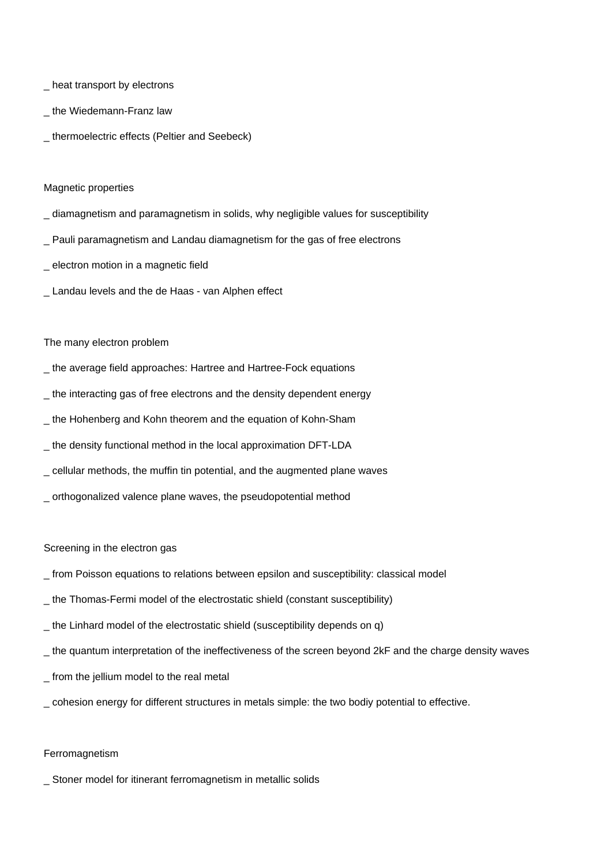- \_ heat transport by electrons
- the Wiedemann-Franz law
- \_ thermoelectric effects (Peltier and Seebeck)

#### Magnetic properties

- \_ diamagnetism and paramagnetism in solids, why negligible values for susceptibility
- \_ Pauli paramagnetism and Landau diamagnetism for the gas of free electrons
- \_ electron motion in a magnetic field
- \_ Landau levels and the de Haas van Alphen effect

#### The many electron problem

- \_ the average field approaches: Hartree and Hartree-Fock equations
- \_ the interacting gas of free electrons and the density dependent energy
- \_ the Hohenberg and Kohn theorem and the equation of Kohn-Sham
- \_ the density functional method in the local approximation DFT-LDA
- \_ cellular methods, the muffin tin potential, and the augmented plane waves
- \_ orthogonalized valence plane waves, the pseudopotential method

#### Screening in the electron gas

- \_ from Poisson equations to relations between epsilon and susceptibility: classical model
- \_ the Thomas-Fermi model of the electrostatic shield (constant susceptibility)
- the Linhard model of the electrostatic shield (susceptibility depends on q)
- \_ the quantum interpretation of the ineffectiveness of the screen beyond 2kF and the charge density waves
- \_ from the jellium model to the real metal
- \_ cohesion energy for different structures in metals simple: the two bodiy potential to effective.

#### Ferromagnetism

\_ Stoner model for itinerant ferromagnetism in metallic solids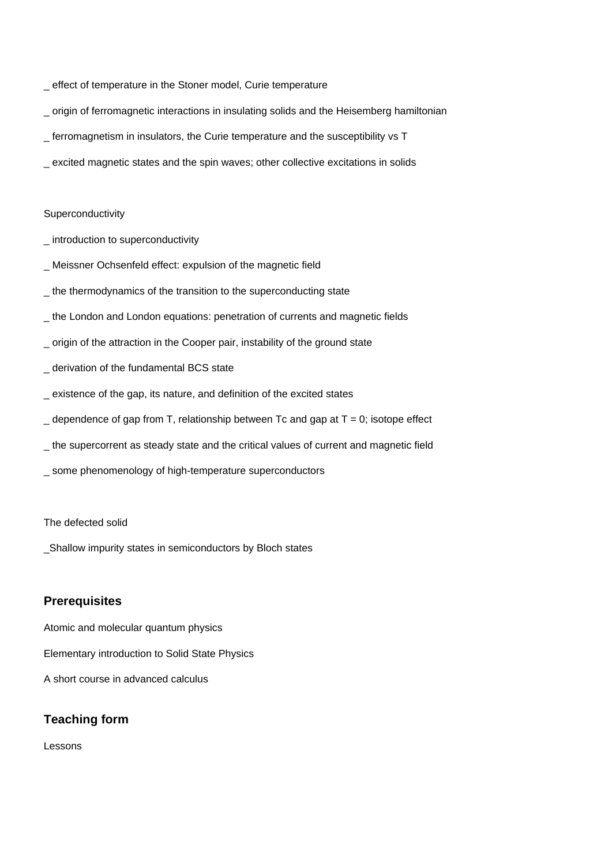- \_ effect of temperature in the Stoner model, Curie temperature
- \_ origin of ferromagnetic interactions in insulating solids and the Heisemberg hamiltonian
- \_ ferromagnetism in insulators, the Curie temperature and the susceptibility vs T
- \_ excited magnetic states and the spin waves; other collective excitations in solids

#### Superconductivity

- \_ introduction to superconductivity
- Meissner Ochsenfeld effect: expulsion of the magnetic field
- \_ the thermodynamics of the transition to the superconducting state
- \_ the London and London equations: penetration of currents and magnetic fields
- \_ origin of the attraction in the Cooper pair, instability of the ground state
- \_ derivation of the fundamental BCS state
- existence of the gap, its nature, and definition of the excited states
- $\angle$  dependence of gap from T, relationship between Tc and gap at T = 0; isotope effect
- the supercorrent as steady state and the critical values of current and magnetic field
- some phenomenology of high-temperature superconductors

### The defected solid

\_Shallow impurity states in semiconductors by Bloch states

## **Prerequisites**

Atomic and molecular quantum physics Elementary introduction to Solid State Physics A short course in advanced calculus

## **Teaching form**

Lessons